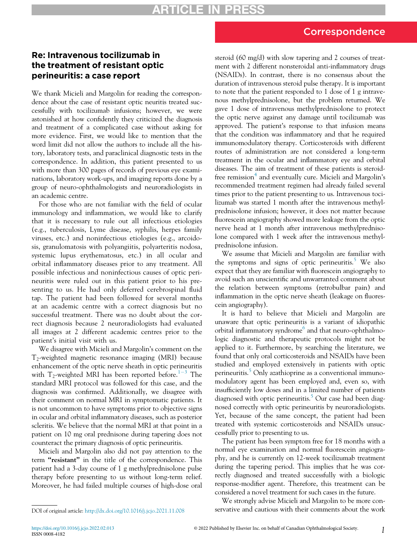# Correspondence

## Re: Intravenous tocilizumab in the treatment of resistant optic perineuritis: a case report

We thank Micieli and Margolin for reading the correspondence about the case of resistant optic neuritis treated successfully with tocilizumab infusions; however, we were astonished at how confidently they criticized the diagnosis and treatment of a complicated case without asking for more evidence. First, we would like to mention that the word limit did not allow the authors to include all the history, laboratory tests, and paraclinical diagnostic tests in the correspondence. In addition, this patient presented to us with more than 300 pages of records of previous eye examinations, laboratory work-ups, and imaging reports done by a group of neuro-ophthalmologists and neuroradiologists in an academic centre.

For those who are not familiar with the field of ocular immunology and inflammation, we would like to clarify that it is necessary to rule out all infectious etiologies (e.g., tuberculosis, Lyme disease, syphilis, herpes family viruses, etc.) and noninfectious etiologies (e.g., arcoidosis, granulomatosis with polyangiitis, polyarteritis nodosa, systemic lupus erythematosus, etc.) in all ocular and orbital inflammatory diseases prior to any treatment. All possible infectious and noninfectious causes of optic perineuritis were ruled out in this patient prior to his presenting to us. He had only deferred cerebrospinal fluid tap. The patient had been followed for several months at an academic centre with a correct diagnosis but no successful treatment. There was no doubt about the correct diagnosis because 2 neuroradiologists had evaluated all images at 2 different academic centres prior to the patient's initial visit with us.

We disagree with Micieli and Margolin's comment on the  $T_2$ -weighted magnetic resonance imaging (MRI) because enhancement of the optic nerve sheath in optic perineuritis with  $T_2$ -weighted MRI has been reported before.<sup>[1](#page-1-0)-[3](#page-1-0)</sup> The standard MRI protocol was followed for this case, and the diagnosis was confirmed. Additionally, we disagree with their comment on normal MRI in symptomatic patients. It is not uncommon to have symptoms prior to objective signs in ocular and orbital inflammatory diseases, such as posterior scleritis. We believe that the normal MRI at that point in a patient on 10 mg oral prednisone during tapering does not counteract the primary diagnosis of optic perineuritis.

Micieli and Margolin also did not pay attention to the term "resistant" in the title of the correspondence. This patient had a 3-day course of 1 g methylprednisolone pulse therapy before presenting to us without long-term relief. Moreover, he had failed multiple courses of high-dose oral

steroid (60 mg/d) with slow tapering and 2 courses of treatment with 2 different nonsteroidal anti-inflammatory drugs (NSAIDs). In contrast, there is no consensus about the duration of intravenous steroid pulse therapy. It is important to note that the patient responded to 1 dose of 1 g intravenous methylprednisolone, but the problem returned. We gave 1 dose of intravenous methylprednisolone to protect the optic nerve against any damage until tocilizumab was approved. The patient's response to that infusion means that the condition was inflammatory and that he required immunomodulatory therapy. Corticosteroids with different routes of administration are not considered a long-term treatment in the ocular and inflammatory eye and orbital diseases. The aim of treatment of these patients is steroid-free remission<sup>[4](#page-1-1)</sup> and eventually cure. Micieli and Margolin's recommended treatment regimen had already failed several times prior to the patient presenting to us. Intravenous tocilizumab was started 1 month after the intravenous methylprednisolone infusion; however, it does not matter because fluorescein angiography showed more leakage from the optic nerve head at 1 month after intravenous methylprednisolone compared with 1 week after the intravenous methylprednisolone infusion.

We assume that Micieli and Margolin are familiar with the symptoms and signs of optic perineuritis. $5$  We also expect that they are familiar with fluorescein angiography to avoid such an unscientific and unwarranted comment about the relation between symptoms (retrobulbar pain) and inflammation in the optic nerve sheath (leakage on fluorescein angiography).

It is hard to believe that Micieli and Margolin are unaware that optic perineuritis is a variant of idiopathic orbital inflammatory syndrome<sup>[6](#page-1-3)</sup> and that neuro-ophthalmologic diagnostic and therapeutic protocols might not be applied to it. Furthermore, by searching the literature, we found that only oral corticosteroids and NSAIDs have been studied and employed extensively in patients with optic perineuritis.<sup>[5](#page-1-2)</sup> Only azathioprine as a conventional immunomodulatory agent has been employed and, even so, with insufficiently low doses and in a limited number of patients diagnosed with optic perineuritis.<sup>[5](#page-1-2)</sup> Our case had been diagnosed correctly with optic perineuritis by neuroradiologists. Yet, because of the same concept, the patient had been treated with systemic corticosteroids and NSAIDs unsuccessfully prior to presenting to us.

The patient has been symptom free for 18 months with a normal eye examination and normal fluorescein angiography, and he is currently on 12-week tocilizumab treatment during the tapering period. This implies that he was correctly diagnosed and treated successfully with a biologic response-modifier agent. Therefore, this treatment can be considered a novel treatment for such cases in the future.

We strongly advise Micieli and Margolin to be more conDOI of original article: <http://dx.doi.org/10.1016/j.jcjo.2021.11.008> servative and cautious with their comments about the work